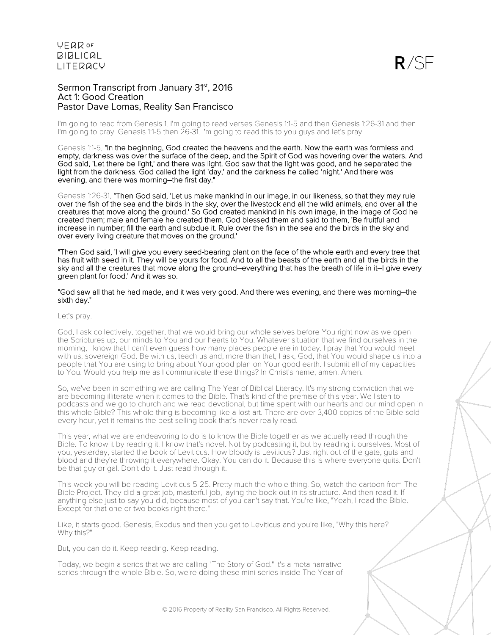$R / S$ 

### Sermon Transcript from January 31<sup>st</sup>, 2016 Act 1: Good Creation Pastor Dave Lomas, Reality San Francisco

I'm going to read from Genesis 1. I'm going to read verses Genesis 1:1-5 and then Genesis 1:26-31 and then I'm going to pray. Genesis 1:1-5 then 26-31. I'm going to read this to you guys and let's pray.

Genesis 1:1-5, "In the beginning, God created the heavens and the earth. Now the earth was formless and empty, darkness was over the surface of the deep, and the Spirit of God was hovering over the waters. And God said, 'Let there be light,' and there was light. God saw that the light was good, and he separated the light from the darkness. God called the light 'day,' and the darkness he called 'night.' And there was evening, and there was morning–the first day."

Genesis 1:26-31, "Then God said, 'Let us make mankind in our image, in our likeness, so that they may rule over the fish of the sea and the birds in the sky, over the livestock and all the wild animals, and over all the creatures that move along the ground.' So God created mankind in his own image, in the image of God he created them; male and female he created them. God blessed them and said to them, 'Be fruitful and increase in number; fill the earth and subdue it. Rule over the fish in the sea and the birds in the sky and over every living creature that moves on the ground.'

"Then God said, 'I will give you every seed-bearing plant on the face of the whole earth and every tree that has fruit with seed in it. They will be yours for food. And to all the beasts of the earth and all the birds in the sky and all the creatures that move along the ground–everything that has the breath of life in it–I give every green plant for food.' And it was so.

### "God saw all that he had made, and it was very good. And there was evening, and there was morning–the sixth day."

### Let's pray.

God, I ask collectively, together, that we would bring our whole selves before You right now as we open the Scriptures up, our minds to You and our hearts to You. Whatever situation that we find ourselves in the morning, I know that I can't even guess how many places people are in today. I pray that You would meet with us, sovereign God. Be with us, teach us and, more than that, I ask, God, that You would shape us into a people that You are using to bring about Your good plan on Your good earth. I submit all of my capacities to You. Would you help me as I communicate these things? In Christ's name, amen. Amen.

So, we've been in something we are calling The Year of Biblical Literacy. It's my strong conviction that we are becoming illiterate when it comes to the Bible. That's kind of the premise of this year. We listen to podcasts and we go to church and we read devotional, but time spent with our hearts and our mind open in this whole Bible? This whole thing is becoming like a lost art. There are over 3,400 copies of the Bible sold every hour, yet it remains the best selling book that's never really read.

This year, what we are endeavoring to do is to know the Bible together as we actually read through the Bible. To know it by reading it. I know that's novel. Not by podcasting it, but by reading it ourselves. Most of you, yesterday, started the book of Leviticus. How bloody is Leviticus? Just right out of the gate, guts and blood and they're throwing it everywhere. Okay. You can do it. Because this is where everyone quits. Don't be that guy or gal. Don't do it. Just read through it.

This week you will be reading Leviticus 5-25. Pretty much the whole thing. So, watch the cartoon from The Bible Project. They did a great job, masterful job, laying the book out in its structure. And then read it. If anything else just to say you did, because most of you can't say that. You're like, "Yeah, I read the Bible. Except for that one or two books right there."

Like, it starts good. Genesis, Exodus and then you get to Leviticus and you're like, "Why this here? Why this?"

But, you can do it. Keep reading. Keep reading.

Today, we begin a series that we are calling "The Story of God." It's a meta narrative series through the whole Bible. So, we're doing these mini-series inside The Year of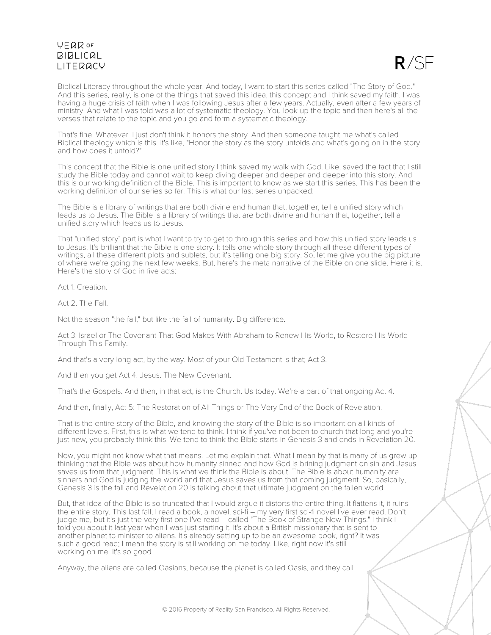

Biblical Literacy throughout the whole year. And today, I want to start this series called "The Story of God." And this series, really, is one of the things that saved this idea, this concept and I think saved my faith. I was having a huge crisis of faith when I was following Jesus after a few years. Actually, even after a few years of ministry. And what I was told was a lot of systematic theology. You look up the topic and then here's all the verses that relate to the topic and you go and form a systematic theology.

That's fine. Whatever. I just don't think it honors the story. And then someone taught me what's called Biblical theology which is this. It's like, "Honor the story as the story unfolds and what's going on in the story and how does it unfold?"

This concept that the Bible is one unified story I think saved my walk with God. Like, saved the fact that I still study the Bible today and cannot wait to keep diving deeper and deeper and deeper into this story. And this is our working definition of the Bible. This is important to know as we start this series. This has been the working definition of our series so far. This is what our last series unpacked:

The Bible is a library of writings that are both divine and human that, together, tell a unified story which leads us to Jesus. The Bible is a library of writings that are both divine and human that, together, tell a unified story which leads us to Jesus.

That "unified story" part is what I want to try to get to through this series and how this unified story leads us to Jesus. It's brilliant that the Bible is one story. It tells one whole story through all these different types of writings, all these different plots and sublets, but it's telling one big story. So, let me give you the big picture of where we're going the next few weeks. But, here's the meta narrative of the Bible on one slide. Here it is. Here's the story of God in five acts:

Act 1: Creation.

Act 2: The Fall.

Not the season "the fall," but like the fall of humanity. Big difference.

Act 3: Israel or The Covenant That God Makes With Abraham to Renew His World, to Restore His World Through This Family.

And that's a very long act, by the way. Most of your Old Testament is that; Act 3.

And then you get Act 4: Jesus: The New Covenant.

That's the Gospels. And then, in that act, is the Church. Us today. We're a part of that ongoing Act 4.

And then, finally, Act 5: The Restoration of All Things or The Very End of the Book of Revelation.

That is the entire story of the Bible, and knowing the story of the Bible is so important on all kinds of different levels. First, this is what we tend to think. I think if you've not been to church that long and you're just new, you probably think this. We tend to think the Bible starts in Genesis 3 and ends in Revelation 20.

Now, you might not know what that means. Let me explain that. What I mean by that is many of us grew up thinking that the Bible was about how humanity sinned and how God is brining judgment on sin and Jesus saves us from that judgment. This is what we think the Bible is about. The Bible is about humanity are sinners and God is judging the world and that Jesus saves us from that coming judgment. So, basically, Genesis 3 is the fall and Revelation 20 is talking about that ultimate judgment on the fallen world.

But, that idea of the Bible is so truncated that I would argue it distorts the entire thing. It flattens it, it ruins the entire story. This last fall, I read a book, a novel, sci-fi – my very first sci-fi novel I've ever read. Don't judge me, but it's just the very first one I've read – called "The Book of Strange New Things." I think I told you about it last year when I was just starting it. It's about a British missionary that is sent to another planet to minister to aliens. It's already setting up to be an awesome book, right? It was such a good read; I mean the story is still working on me today. Like, right now it's still working on me. It's so good.

Anyway, the aliens are called Oasians, because the planet is called Oasis, and they call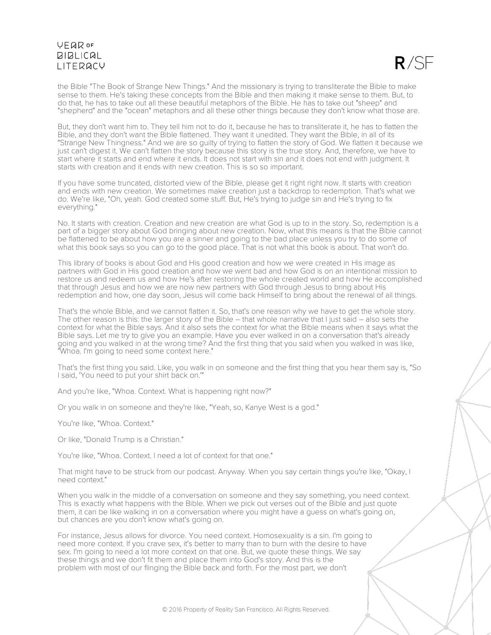

the Bible "The Book of Strange New Things." And the missionary is trying to transliterate the Bible to make sense to them. He's taking these concepts from the Bible and then making it make sense to them. But, to do that, he has to take out all these beautiful metaphors of the Bible. He has to take out "sheep" and "shepherd" and the "ocean" metaphors and all these other things because they don't know what those are.

But, they don't want him to. They tell him not to do it, because he has to transliterate it, he has to flatten the Bible, and they don't want the Bible flattened. They want it unedited. They want the Bible, in all of its "Strange New Thingness." And we are so guilty of trying to flatten the story of God. We flatten it because we just can't digest it. We can't flatten the story because this story is the true story. And, therefore, we have to start where it starts and end where it ends. It does not start with sin and it does not end with judgment. It starts with creation and it ends with new creation. This is so so important.

If you have some truncated, distorted view of the Bible, please get it right right now. It starts with creation and ends with new creation. We sometimes make creation just a backdrop to redemption. That's what we do. We're like, "Oh, yeah. God created some stuff. But, He's trying to judge sin and He's trying to fix everything."

No. It starts with creation. Creation and new creation are what God is up to in the story. So, redemption is a part of a bigger story about God bringing about new creation. Now, what this means is that the Bible cannot be flattened to be about how you are a sinner and going to the bad place unless you try to do some of what this book says so you can go to the good place. That is not what this book is about. That won't do.

This library of books is about God and His good creation and how we were created in His image as partners with God in His good creation and how we went bad and how God is on an intentional mission to restore us and redeem us and how He's after restoring the whole created world and how He accomplished that through Jesus and how we are now new partners with God through Jesus to bring about His redemption and how, one day soon, Jesus will come back Himself to bring about the renewal of all things.

That's the whole Bible, and we cannot flatten it. So, that's one reason why we have to get the whole story. The other reason is this: the larger story of the Bible – that whole narrative that I just said – also sets the context for what the Bible says. And it also sets the context for what the Bible means when it says what the Bible says. Let me try to give you an example. Have you ever walked in on a conversation that's already going and you walked in at the wrong time? And the first thing that you said when you walked in was like, "Whoa. I'm going to need some context here."

That's the first thing you said. Like, you walk in on someone and the first thing that you hear them say is, "So I said, 'You need to put your shirt back on.'"

And you're like, "Whoa. Context. What is happening right now?"

Or you walk in on someone and they're like, "Yeah, so, Kanye West is a god."

You're like, "Whoa. Context."

Or like, "Donald Trump is a Christian."

You're like, "Whoa. Context. I need a lot of context for that one."

That might have to be struck from our podcast. Anyway. When you say certain things you're like, "Okay, I need context."

When you walk in the middle of a conversation on someone and they say something, you need context. This is exactly what happens with the Bible. When we pick out verses out of the Bible and just quote them, it can be like walking in on a conversation where you might have a guess on what's going on, but chances are you don't know what's going on.

For instance, Jesus allows for divorce. You need context. Homosexuality is a sin. I'm going to need more context. If you crave sex, it's better to marry than to burn with the desire to have sex. I'm going to need a lot more context on that one. But, we quote these things. We say these things and we don't fit them and place them into God's story. And this is the problem with most of our flinging the Bible back and forth. For the most part, we don't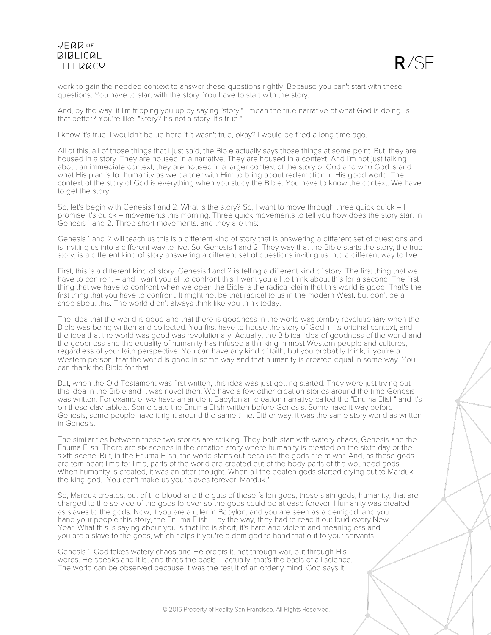

work to gain the needed context to answer these questions rightly. Because you can't start with these questions. You have to start with the story. You have to start with the story.

And, by the way, if I'm tripping you up by saying "story," I mean the true narrative of what God is doing. Is that better? You're like, "Story? It's not a story. It's true."

I know it's true. I wouldn't be up here if it wasn't true, okay? I would be fired a long time ago.

All of this, all of those things that I just said, the Bible actually says those things at some point. But, they are housed in a story. They are housed in a narrative. They are housed in a context. And I'm not just talking about an immediate context, they are housed in a larger context of the story of God and who God is and what His plan is for humanity as we partner with Him to bring about redemption in His good world. The context of the story of God is everything when you study the Bible. You have to know the context. We have to get the story.

So, let's begin with Genesis 1 and 2. What is the story? So, I want to move through three quick quick – I promise it's quick – movements this morning. Three quick movements to tell you how does the story start in Genesis 1 and 2. Three short movements, and they are this:

Genesis 1 and 2 will teach us this is a different kind of story that is answering a different set of questions and is inviting us into a different way to live. So, Genesis 1 and 2. They way that the Bible starts the story, the true story, is a different kind of story answering a different set of questions inviting us into a different way to live.

First, this is a different kind of story. Genesis 1 and 2 is telling a different kind of story. The first thing that we have to confront – and I want you all to confront this. I want you all to think about this for a second. The first thing that we have to confront when we open the Bible is the radical claim that this world is good. That's the first thing that you have to confront. It might not be that radical to us in the modern West, but don't be a snob about this. The world didn't always think like you think today.

The idea that the world is good and that there is goodness in the world was terribly revolutionary when the Bible was being written and collected. You first have to house the story of God in its original context, and the idea that the world was good was revolutionary. Actually, the Biblical idea of goodness of the world and the goodness and the equality of humanity has infused a thinking in most Western people and cultures, regardless of your faith perspective. You can have any kind of faith, but you probably think, if you're a Western person, that the world is good in some way and that humanity is created equal in some way. You can thank the Bible for that.

But, when the Old Testament was first written, this idea was just getting started. They were just trying out this idea in the Bible and it was novel then. We have a few other creation stories around the time Genesis was written. For example: we have an ancient Babylonian creation narrative called the "Enuma Elish" and it's on these clay tablets. Some date the Enuma Elish written before Genesis. Some have it way before Genesis, some people have it right around the same time. Either way, it was the same story world as written in Genesis.

The similarities between these two stories are striking. They both start with watery chaos, Genesis and the Enuma Elish. There are six scenes in the creation story where humanity is created on the sixth day or the sixth scene. But, in the Enuma Elish, the world starts out because the gods are at war. And, as these gods are torn apart limb for limb, parts of the world are created out of the body parts of the wounded gods. When humanity is created, it was an after thought. When all the beaten gods started crying out to Marduk, the king god, "You can't make us your slaves forever, Marduk."

So, Marduk creates, out of the blood and the guts of these fallen gods, these slain gods, humanity, that are charged to the service of the gods forever so the gods could be at ease forever. Humanity was created as slaves to the gods. Now, if you are a ruler in Babylon, and you are seen as a demigod, and you hand your people this story, the Enuma Elish – by the way, they had to read it out loud every New Year. What this is saying about you is that life is short, it's hard and violent and meaningless and you are a slave to the gods, which helps if you're a demigod to hand that out to your servants.

Genesis 1, God takes watery chaos and He orders it, not through war, but through His words. He speaks and it is, and that's the basis – actually, that's the basis of all science. The world can be observed because it was the result of an orderly mind. God says it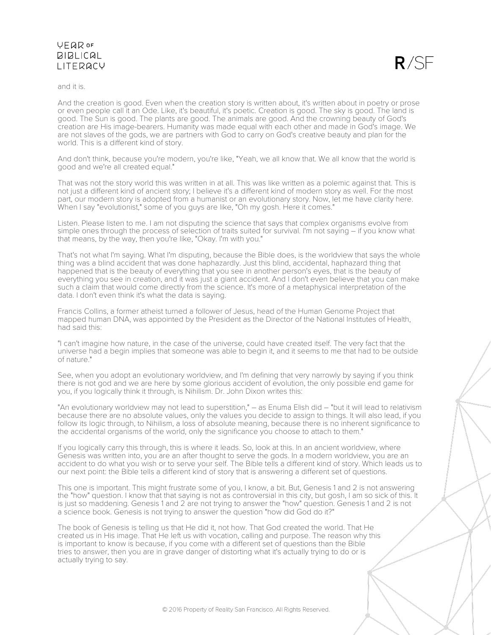# $R/SE$

### and it is.

And the creation is good. Even when the creation story is written about, it's written about in poetry or prose or even people call it an Ode. Like, it's beautiful, it's poetic. Creation is good. The sky is good. The land is good. The Sun is good. The plants are good. The animals are good. And the crowning beauty of God's creation are His image-bearers. Humanity was made equal with each other and made in God's image. We are not slaves of the gods, we are partners with God to carry on God's creative beauty and plan for the world. This is a different kind of story.

And don't think, because you're modern, you're like, "Yeah, we all know that. We all know that the world is good and we're all created equal."

That was not the story world this was written in at all. This was like written as a polemic against that. This is not just a different kind of ancient story; I believe it's a different kind of modern story as well. For the most part, our modern story is adopted from a humanist or an evolutionary story. Now, let me have clarity here. When I say "evolutionist," some of you guys are like, "Oh my gosh. Here it comes."

Listen. Please listen to me. I am not disputing the science that says that complex organisms evolve from simple ones through the process of selection of traits suited for survival. I'm not saying – if you know what that means, by the way, then you're like, "Okay. I'm with you."

That's not what I'm saying. What I'm disputing, because the Bible does, is the worldview that says the whole thing was a blind accident that was done haphazardly. Just this blind, accidental, haphazard thing that happened that is the beauty of everything that you see in another person's eyes, that is the beauty of everything you see in creation, and it was just a giant accident. And I don't even believe that you can make such a claim that would come directly from the science. It's more of a metaphysical interpretation of the data. I don't even think it's what the data is saying.

Francis Collins, a former atheist turned a follower of Jesus, head of the Human Genome Project that mapped human DNA, was appointed by the President as the Director of the National Institutes of Health, had said this:

"I can't imagine how nature, in the case of the universe, could have created itself. The very fact that the universe had a begin implies that someone was able to begin it, and it seems to me that had to be outside of nature."

See, when you adopt an evolutionary worldview, and I'm defining that very narrowly by saying if you think there is not god and we are here by some glorious accident of evolution, the only possible end game for you, if you logically think it through, is Nihilism. Dr. John Dixon writes this:

"An evolutionary worldview may not lead to superstition," – as Enuma Elish did – "but it will lead to relativism because there are no absolute values, only the values you decide to assign to things. It will also lead, if you follow its logic through, to Nihilism, a loss of absolute meaning, because there is no inherent significance to the accidental organisms of the world, only the significance you choose to attach to them."

If you logically carry this through, this is where it leads. So, look at this. In an ancient worldview, where Genesis was written into, you are an after thought to serve the gods. In a modern worldview, you are an accident to do what you wish or to serve your self. The Bible tells a different kind of story. Which leads us to our next point: the Bible tells a different kind of story that is answering a different set of questions.

This one is important. This might frustrate some of you, I know, a bit. But, Genesis 1 and 2 is not answering the "how" question. I know that that saying is not as controversial in this city, but gosh, I am so sick of this. It is just so maddening. Genesis 1 and 2 are not trying to answer the "how" question. Genesis 1 and 2 is not a science book. Genesis is not trying to answer the question "how did God do it?"

The book of Genesis is telling us that He did it, not how. That God created the world. That He created us in His image. That He left us with vocation, calling and purpose. The reason why this is important to know is because, if you come with a different set of questions than the Bible tries to answer, then you are in grave danger of distorting what it's actually trying to do or is actually trying to say.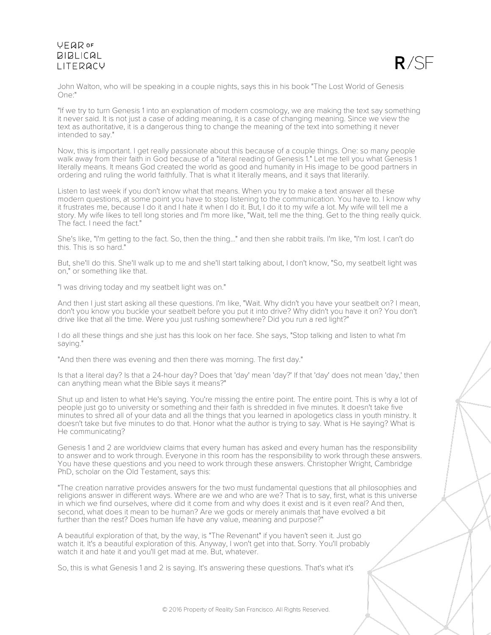

John Walton, who will be speaking in a couple nights, says this in his book "The Lost World of Genesis One:"

"If we try to turn Genesis 1 into an explanation of modern cosmology, we are making the text say something it never said. It is not just a case of adding meaning, it is a case of changing meaning. Since we view the text as authoritative, it is a dangerous thing to change the meaning of the text into something it never intended to say."

Now, this is important. I get really passionate about this because of a couple things. One: so many people walk away from their faith in God because of a "literal reading of Genesis 1." Let me tell you what Genesis 1 literally means. It means God created the world as good and humanity in His image to be good partners in ordering and ruling the world faithfully. That is what it literally means, and it says that literarily.

Listen to last week if you don't know what that means. When you try to make a text answer all these modern questions, at some point you have to stop listening to the communication. You have to. I know why it frustrates me, because I do it and I hate it when I do it. But, I do it to my wife a lot. My wife will tell me a story. My wife likes to tell long stories and I'm more like, "Wait, tell me the thing. Get to the thing really quick. The fact. I need the fact."

She's like, "I'm getting to the fact. So, then the thing..." and then she rabbit trails. I'm like, "I'm lost. I can't do this. This is so hard."

But, she'll do this. She'll walk up to me and she'll start talking about, I don't know, "So, my seatbelt light was on," or something like that.

"I was driving today and my seatbelt light was on."

And then I just start asking all these questions. I'm like, "Wait. Why didn't you have your seatbelt on? I mean, don't you know you buckle your seatbelt before you put it into drive? Why didn't you have it on? You don't drive like that all the time. Were you just rushing somewhere? Did you run a red light?"

I do all these things and she just has this look on her face. She says, "Stop talking and listen to what I'm saying."

"And then there was evening and then there was morning. The first day."

Is that a literal day? Is that a 24-hour day? Does that 'day' mean 'day?' If that 'day' does not mean 'day,' then can anything mean what the Bible says it means?"

Shut up and listen to what He's saying. You're missing the entire point. The entire point. This is why a lot of people just go to university or something and their faith is shredded in five minutes. It doesn't take five minutes to shred all of your data and all the things that you learned in apologetics class in youth ministry. It doesn't take but five minutes to do that. Honor what the author is trying to say. What is He saying? What is He communicating?

Genesis 1 and 2 are worldview claims that every human has asked and every human has the responsibility to answer and to work through. Everyone in this room has the responsibility to work through these answers. You have these questions and you need to work through these answers. Christopher Wright, Cambridge PhD, scholar on the Old Testament, says this:

"The creation narrative provides answers for the two must fundamental questions that all philosophies and religions answer in different ways. Where are we and who are we? That is to say, first, what is this universe in which we find ourselves, where did it come from and why does it exist and is it even real? And then, second, what does it mean to be human? Are we gods or merely animals that have evolved a bit further than the rest? Does human life have any value, meaning and purpose?"

A beautiful exploration of that, by the way, is "The Revenant" if you haven't seen it. Just go watch it. It's a beautiful exploration of this. Anyway, I won't get into that. Sorry. You'll probably watch it and hate it and you'll get mad at me. But, whatever.

So, this is what Genesis 1 and 2 is saying. It's answering these questions. That's what it's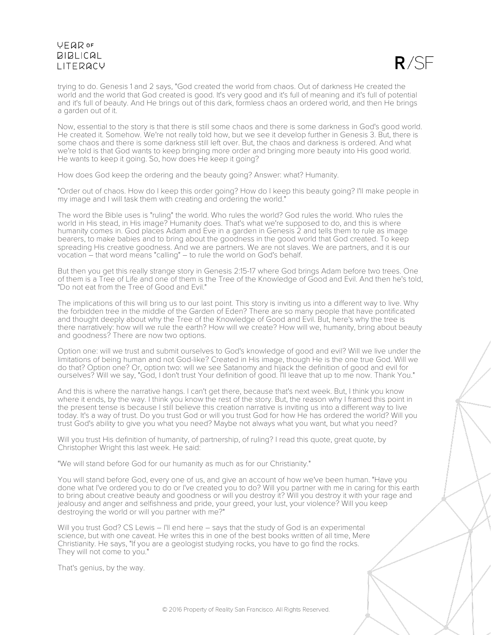

trying to do. Genesis 1 and 2 says, "God created the world from chaos. Out of darkness He created the world and the world that God created is good. It's very good and it's full of meaning and it's full of potential and it's full of beauty. And He brings out of this dark, formless chaos an ordered world, and then He brings a garden out of it.

Now, essential to the story is that there is still some chaos and there is some darkness in God's good world. He created it. Somehow. We're not really told how, but we see it develop further in Genesis 3. But, there is some chaos and there is some darkness still left over. But, the chaos and darkness is ordered. And what we're told is that God wants to keep bringing more order and bringing more beauty into His good world. He wants to keep it going. So, how does He keep it going?

How does God keep the ordering and the beauty going? Answer: what? Humanity.

"Order out of chaos. How do I keep this order going? How do I keep this beauty going? I'll make people in my image and I will task them with creating and ordering the world."

The word the Bible uses is "ruling" the world. Who rules the world? God rules the world. Who rules the world in His stead, in His image? Humanity does. That's what we're supposed to do, and this is where humanity comes in. God places Adam and Eve in a garden in Genesis 2 and tells them to rule as image bearers, to make babies and to bring about the goodness in the good world that God created. To keep spreading His creative goodness. And we are partners. We are not slaves. We are partners, and it is our vocation – that word means "calling" – to rule the world on God's behalf.

But then you get this really strange story in Genesis 2:15-17 where God brings Adam before two trees. One of them is a Tree of Life and one of them is the Tree of the Knowledge of Good and Evil. And then he's told, "Do not eat from the Tree of Good and Evil."

The implications of this will bring us to our last point. This story is inviting us into a different way to live. Why the forbidden tree in the middle of the Garden of Eden? There are so many people that have pontificated and thought deeply about why the Tree of the Knowledge of Good and Evil. But, here's why the tree is there narratively: how will we rule the earth? How will we create? How will we, humanity, bring about beauty and goodness? There are now two options.

Option one: will we trust and submit ourselves to God's knowledge of good and evil? Will we live under the limitations of being human and not God-like? Created in His image, though He is the one true God. Will we do that? Option one? Or, option two: will we see Satanomy and hijack the definition of good and evil for ourselves? Will we say, "God, I don't trust Your definition of good. I'll leave that up to me now. Thank You."

And this is where the narrative hangs. I can't get there, because that's next week. But, I think you know where it ends, by the way. I think you know the rest of the story. But, the reason why I framed this point in the present tense is because I still believe this creation narrative is inviting us into a different way to live today. It's a way of trust. Do you trust God or will you trust God for how He has ordered the world? Will you trust God's ability to give you what you need? Maybe not always what you want, but what you need?

Will you trust His definition of humanity, of partnership, of ruling? I read this quote, great quote, by Christopher Wright this last week. He said:

"We will stand before God for our humanity as much as for our Christianity."

You will stand before God, every one of us, and give an account of how we've been human. "Have you done what I've ordered you to do or I've created you to do? Will you partner with me in caring for this earth to bring about creative beauty and goodness or will you destroy it? Will you destroy it with your rage and jealousy and anger and selfishness and pride, your greed, your lust, your violence? Will you keep destroying the world or will you partner with me?"

Will you trust God? CS Lewis – I'll end here – says that the study of God is an experimental science, but with one caveat. He writes this in one of the best books written of all time, Mere Christianity. He says, "If you are a geologist studying rocks, you have to go find the rocks. They will not come to you."

That's genius, by the way.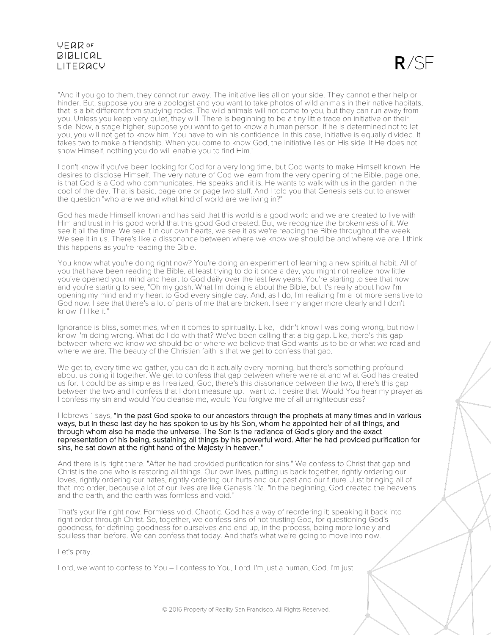

"And if you go to them, they cannot run away. The initiative lies all on your side. They cannot either help or hinder. But, suppose you are a zoologist and you want to take photos of wild animals in their native habitats, that is a bit different from studying rocks. The wild animals will not come to you, but they can run away from you. Unless you keep very quiet, they will. There is beginning to be a tiny little trace on initiative on their side. Now, a stage higher, suppose you want to get to know a human person. If he is determined not to let you, you will not get to know him. You have to win his confidence. In this case, initiative is equally divided. It takes two to make a friendship. When you come to know God, the initiative lies on His side. If He does not show Himself, nothing you do will enable you to find Him."

I don't know if you've been looking for God for a very long time, but God wants to make Himself known. He desires to disclose Himself. The very nature of God we learn from the very opening of the Bible, page one, is that God is a God who communicates. He speaks and it is. He wants to walk with us in the garden in the cool of the day. That is basic, page one or page two stuff. And I told you that Genesis sets out to answer the question "who are we and what kind of world are we living in?"

God has made Himself known and has said that this world is a good world and we are created to live with Him and trust in His good world that this good God created. But, we recognize the brokenness of it. We see it all the time. We see it in our own hearts, we see it as we're reading the Bible throughout the week. We see it in us. There's like a dissonance between where we know we should be and where we are. I think this happens as you're reading the Bible.

You know what you're doing right now? You're doing an experiment of learning a new spiritual habit. All of you that have been reading the Bible, at least trying to do it once a day, you might not realize how little you've opened your mind and heart to God daily over the last few years. You're starting to see that now and you're starting to see, "Oh my gosh. What I'm doing is about the Bible, but it's really about how I'm opening my mind and my heart to God every single day. And, as I do, I'm realizing I'm a lot more sensitive to God now. I see that there's a lot of parts of me that are broken. I see my anger more clearly and I don't know if I like it."

Ignorance is bliss, sometimes, when it comes to spirituality. Like, I didn't know I was doing wrong, but now I know I'm doing wrong. What do I do with that? We've been calling that a big gap. Like, there's this gap between where we know we should be or where we believe that God wants us to be or what we read and where we are. The beauty of the Christian faith is that we get to confess that gap.

We get to, every time we gather, you can do it actually every morning, but there's something profound about us doing it together. We get to confess that gap between where we're at and what God has created us for. It could be as simple as I realized, God, there's this dissonance between the two, there's this gap between the two and I confess that I don't measure up. I want to. I desire that. Would You hear my prayer as I confess my sin and would You cleanse me, would You forgive me of all unrighteousness?

Hebrews 1 says, "In the past God spoke to our ancestors through the prophets at many times and in various ways, but in these last day he has spoken to us by his Son, whom he appointed heir of all things, and through whom also he made the universe. The Son is the radiance of God's glory and the exact representation of his being, sustaining all things by his powerful word. After he had provided purification for sins, he sat down at the right hand of the Majesty in heaven."

And there is is right there. "After he had provided purification for sins." We confess to Christ that gap and Christ is the one who is restoring all things. Our own lives, putting us back together, rightly ordering our loves, rightly ordering our hates, rightly ordering our hurts and our past and our future. Just bringing all of that into order, because a lot of our lives are like Genesis 1:1a. "In the beginning, God created the heavens and the earth, and the earth was formless and void."

That's your life right now. Formless void. Chaotic. God has a way of reordering it; speaking it back into right order through Christ. So, together, we confess sins of not trusting God, for questioning God's goodness, for defining goodness for ourselves and end up, in the process, being more lonely and soulless than before. We can confess that today. And that's what we're going to move into now.

#### Let's pray.

Lord, we want to confess to You – I confess to You, Lord. I'm just a human, God. I'm just